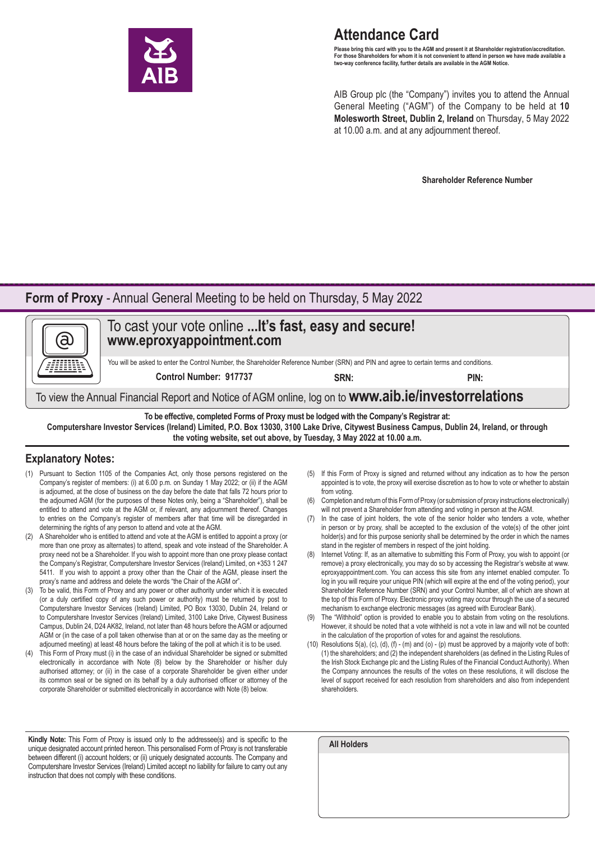

# **Attendance Card**

**Please bring this card with you to the AGM and present it at Shareholder registration/accreditation. For those Shareholders for whom it is not convenient to attend in person we have made available a two-way conference facility, further details are available in the AGM Notice.**

AIB Group plc (the "Company") invites you to attend the Annual General Meeting ("AGM") of the Company to be held at **10 Molesworth Street, Dublin 2, Ireland** on Thursday, 5 May 2022 at 10.00 a.m. and at any adjournment thereof.

**Shareholder Reference Number**

### **Form of Proxy** - Annual General Meeting to be held on Thursday, 5 May 2022



**the voting website, set out above, by Tuesday, 3 May 2022 at 10.00 a.m.**

### **Explanatory Notes:**

- (1) Pursuant to Section 1105 of the Companies Act, only those persons registered on the Company's register of members: (i) at 6.00 p.m. on Sunday 1 May 2022; or (ii) if the AGM is adjourned, at the close of business on the day before the date that falls 72 hours prior to the adjourned AGM (for the purposes of these Notes only, being a "Shareholder"), shall be entitled to attend and vote at the AGM or, if relevant, any adjournment thereof. Changes to entries on the Company's register of members after that time will be disregarded in determining the rights of any person to attend and vote at the AGM.
- (2) A Shareholder who is entitled to attend and vote at the AGM is entitled to appoint a proxy (or more than one proxy as alternates) to attend, speak and vote instead of the Shareholder. A proxy need not be a Shareholder. If you wish to appoint more than one proxy please contact the Company's Registrar, Computershare Investor Services (Ireland) Limited, on +353 1 247 5411. If you wish to appoint a proxy other than the Chair of the AGM, please insert the proxy's name and address and delete the words "the Chair of the AGM or".
- (3) To be valid, this Form of Proxy and any power or other authority under which it is executed (or a duly certified copy of any such power or authority) must be returned by post to Computershare Investor Services (Ireland) Limited, PO Box 13030, Dublin 24, Ireland or to Computershare Investor Services (Ireland) Limited, 3100 Lake Drive, Citywest Business Campus, Dublin 24, D24 AK82, Ireland, not later than 48 hours before the AGM or adjourned AGM or (in the case of a poll taken otherwise than at or on the same day as the meeting or adjourned meeting) at least 48 hours before the taking of the poll at which it is to be used.
- This Form of Proxy must (i) in the case of an individual Shareholder be signed or submitted electronically in accordance with Note (8) below by the Shareholder or his/her duly authorised attorney; or (ii) in the case of a corporate Shareholder be given either under its common seal or be signed on its behalf by a duly authorised officer or attorney of the corporate Shareholder or submitted electronically in accordance with Note (8) below.
- (5) If this Form of Proxy is signed and returned without any indication as to how the person appointed is to vote, the proxy will exercise discretion as to how to vote or whether to abstain from voting.
- (6) Completion and return of this Form of Proxy (or submission of proxy instructions electronically) will not prevent a Shareholder from attending and voting in person at the AGM.
- (7) In the case of joint holders, the vote of the senior holder who tenders a vote, whether in person or by proxy, shall be accepted to the exclusion of the vote(s) of the other joint holder(s) and for this purpose seniority shall be determined by the order in which the names stand in the register of members in respect of the joint holding.
- (8) Internet Voting: If, as an alternative to submitting this Form of Proxy, you wish to appoint (or remove) a proxy electronically, you may do so by accessing the Registrar's website at www. eproxyappointment.com. You can access this site from any internet enabled computer. To log in you will require your unique PIN (which will expire at the end of the voting period), your Shareholder Reference Number (SRN) and your Control Number, all of which are shown at the top of this Form of Proxy. Electronic proxy voting may occur through the use of a secured mechanism to exchange electronic messages (as agreed with Euroclear Bank).
- The "Withhold" option is provided to enable you to abstain from voting on the resolutions. However, it should be noted that a vote withheld is not a vote in law and will not be counted in the calculation of the proportion of votes for and against the resolutions.
- (10) Resolutions 5(a), (c), (d), (f) (m) and (o) (p) must be approved by a majority vote of both: (1) the shareholders; and (2) the independent shareholders (as defined in the Listing Rules of the Irish Stock Exchange plc and the Listing Rules of the Financial Conduct Authority). When the Company announces the results of the votes on these resolutions, it will disclose the level of support received for each resolution from shareholders and also from independent shareholders.

Kindly Note: This Form of Proxy is issued only to the addressee(s) and is specific to the unique designated account printed hereon. This personalised Form of Proxy is not transferable between different (i) account holders; or (ii) uniquely designated accounts. The Company and Computershare Investor Services (Ireland) Limited accept no liability for failure to carry out any instruction that does not comply with these conditions.

| <b>All Holders</b> |  |  |  |
|--------------------|--|--|--|
|                    |  |  |  |
|                    |  |  |  |
|                    |  |  |  |
|                    |  |  |  |